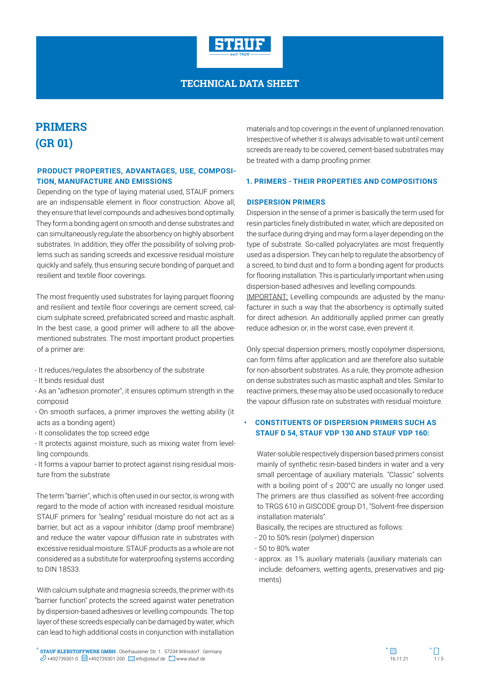

# **PRIMERS (GR 01)**

### **PRODUCT PROPERTIES, ADVANTAGES, USE, COMPOSI-TION, MANUFACTURE AND EMISSIONS**

Depending on the type of laying material used, STAUF primers are an indispensable element in floor construction: Above all, they ensure that level compounds and adhesives bond optimally. They form a bonding agent on smooth and dense substrates and can simultaneously regulate the absorbency on highly absorbent substrates. In addition, they offer the possibility of solving problems such as sanding screeds and excessive residual moisture quickly and safely, thus ensuring secure bonding of parquet and resilient and textile floor coverings.

The most frequently used substrates for laying parquet flooring and resilient and textile floor coverings are cement screed, calcium sulphate screed, prefabricated screed and mastic asphalt. In the best case, a good primer will adhere to all the abovementioned substrates. The most important product properties of a primer are:

- It reduces/regulates the absorbency of the substrate
- It binds residual dust
- As an "adhesion promoter", it ensures optimum strength in the composid
- On smooth surfaces, a primer improves the wetting ability (it acts as a bonding agent)
- It consolidates the top screed edge
- It protects against moisture, such as mixing water from levelling compounds.
- It forms a vapour barrier to protect against rising residual moisture from the substrate

The term "barrier", which is often used in our sector, is wrong with regard to the mode of action with increased residual moisture. STAUF primers for "sealing" residual moisture do not act as a barrier, but act as a vapour inhibitor (damp proof membrane) and reduce the water vapour diffusion rate in substrates with excessive residual moisture. STAUF products as a whole are not considered as a substitute for waterproofing systems according to DIN 18533.

With calcium sulphate and magnesia screeds, the primer with its "barrier function" protects the screed against water penetration by dispersion-based adhesives or levelling compounds. The top layer of these screeds especially can be damaged by water, which can lead to high additional costs in conjunction with installation materials and top coverings in the event of unplanned renovation. Irrespective of whether it is always advisable to wait until cement screeds are ready to be covered, cement-based substrates may be treated with a damp proofing primer.

#### **1. PRIMERS - THEIR PROPERTIES AND COMPOSITIONS**

#### **DISPERSION PRIMERS**

Dispersion in the sense of a primer is basically the term used for resin particles finely distributed in water, which are deposited on the surface during drying and may form a layer depending on the type of substrate. So-called polyacrylates are most frequently used as a dispersion. They can help to regulate the absorbency of a screed, to bind dust and to form a bonding agent for products for flooring installation. This is particularly important when using dispersion-based adhesives and levelling compounds.

IMPORTANT: Levelling compounds are adjusted by the manufacturer in such a way that the absorbency is optimally suited for direct adhesion. An additionally applied primer can greatly reduce adhesion or, in the worst case, even prevent it.

Only special dispersion primers, mostly copolymer dispersions, can form films after application and are therefore also suitable for non-absorbent substrates. As a rule, they promote adhesion on dense substrates such as mastic asphalt and tiles. Similar to reactive primers, these may also be used occasionally to reduce the vapour diffusion rate on substrates with residual moisture.

### **• CONSTITUENTS OF DISPERSION PRIMERS SUCH AS STAUF D 54, STAUF VDP 130 AND STAUF VDP 160:**

Water-soluble respectively dispersion based primers consist mainly of synthetic resin-based binders in water and a very small percentage of auxiliary materials. "Classic" solvents with a boiling point of ≤ 200°C are usually no longer used. The primers are thus classified as solvent-free according to TRGS 610 in GISCODE group D1, "Solvent-free dispersion installation materials".

Basically, the recipes are structured as follows:

- 20 to 50% resin (polymer) dispersion
- 50 to 80% water
- approx. as 1% auxiliary materials (auxiliary materials can include: defoamers, wetting agents, preservatives and pigments)



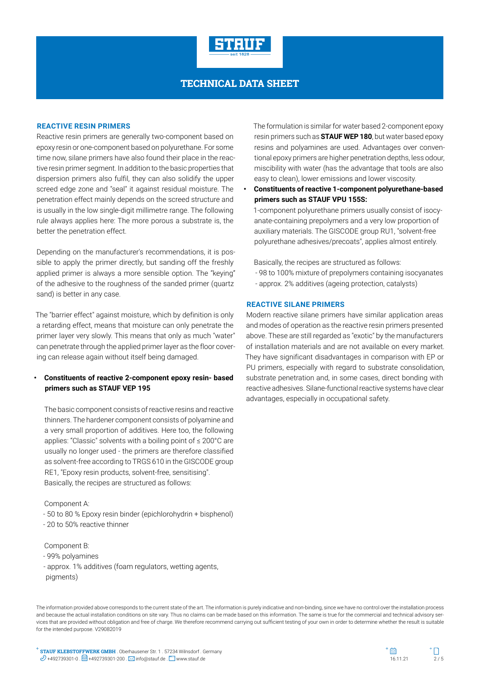

#### **REACTIVE RESIN PRIMERS**

Reactive resin primers are generally two-component based on epoxy resin or one-component based on polyurethane. For some time now, silane primers have also found their place in the reactive resin primer segment. In addition to the basic properties that dispersion primers also fulfil, they can also solidify the upper screed edge zone and "seal" it against residual moisture. The penetration effect mainly depends on the screed structure and is usually in the low single-digit millimetre range. The following rule always applies here: The more porous a substrate is, the better the penetration effect.

Depending on the manufacturer's recommendations, it is possible to apply the primer directly, but sanding off the freshly applied primer is always a more sensible option. The "keying" of the adhesive to the roughness of the sanded primer (quartz sand) is better in any case.

The "barrier effect" against moisture, which by definition is only a retarding effect, means that moisture can only penetrate the primer layer very slowly. This means that only as much "water" can penetrate through the applied primer layer as the floor covering can release again without itself being damaged.

### **• Constituents of reactive 2-component epoxy resin- based primers such as STAUF VEP 195**

The basic component consists of reactive resins and reactive thinners. The hardener component consists of polyamine and a very small proportion of additives. Here too, the following applies: "Classic" solvents with a boiling point of ≤ 200°C are usually no longer used - the primers are therefore classified as solvent-free according to TRGS 610 in the GISCODE group RE1, "Epoxy resin products, solvent-free, sensitising". Basically, the recipes are structured as follows:

#### Component A:

- 50 to 80 % Epoxy resin binder (epichlorohydrin + bisphenol)
- 20 to 50% reactive thinner

#### Component B:

- 99% polyamines
- approx. 1% additives (foam regulators, wetting agents,
- pigments)

The formulation is similar for water based 2-component epoxy resin primers such as **STAUF WEP 180**, but water based epoxy resins and polyamines are used. Advantages over conventional epoxy primers are higher penetration depths, less odour, miscibility with water (has the advantage that tools are also easy to clean), lower emissions and lower viscosity.

**• Constituents of reactive 1-component polyurethane-based primers such as STAUF VPU 155S:**

1-component polyurethane primers usually consist of isocyanate-containing prepolymers and a very low proportion of auxiliary materials. The GISCODE group RU1, "solvent-free polyurethane adhesives/precoats", applies almost entirely.

Basically, the recipes are structured as follows:

- 98 to 100% mixture of prepolymers containing isocyanates - approx. 2% additives (ageing protection, catalysts)

#### **REACTIVE SILANE PRIMERS**

Modern reactive silane primers have similar application areas and modes of operation as the reactive resin primers presented above. These are still regarded as "exotic" by the manufacturers of installation materials and are not available on every market. They have significant disadvantages in comparison with EP or PU primers, especially with regard to substrate consolidation, substrate penetration and, in some cases, direct bonding with reactive adhesives. Silane-functional reactive systems have clear advantages, especially in occupational safety.

The information provided above corresponds to the current state of the art. The information is purely indicative and non-binding, since we have no control over the installation process and because the actual installation conditions on site vary. Thus no claims can be made based on this information. The same is true for the commercial and technical advisory services that are provided without obligation and free of charge. We therefore recommend carrying out sufficient testing of your own in order to determine whether the result is suitable for the intended purpose. V29082019

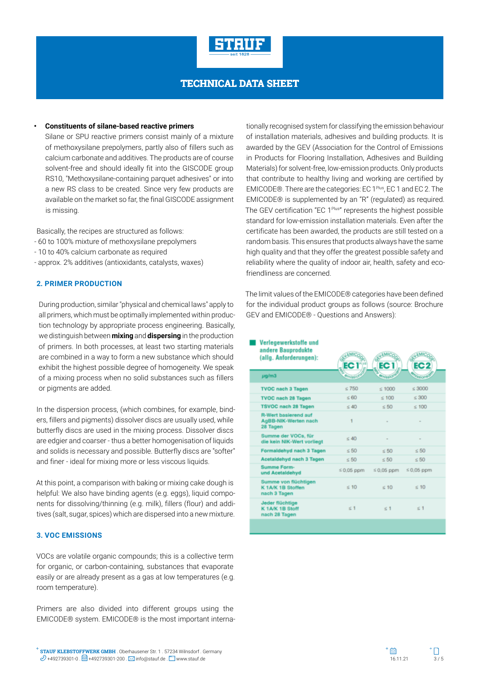

#### **• Constituents of silane-based reactive primers**

Silane or SPU reactive primers consist mainly of a mixture of methoxysilane prepolymers, partly also of fillers such as calcium carbonate and additives. The products are of course solvent-free and should ideally fit into the GISCODE group RS10, "Methoxysilane-containing parquet adhesives" or into a new RS class to be created. Since very few products are available on the market so far, the final GISCODE assignment is missing.

Basically, the recipes are structured as follows:

- 60 to 100% mixture of methoxysilane prepolymers
- 10 to 40% calcium carbonate as required
- approx. 2% additives (antioxidants, catalysts, waxes)

### **2. PRIMER PRODUCTION**

During production, similar "physical and chemical laws" apply to all primers, which must be optimally implemented within production technology by appropriate process engineering. Basically, we distinguish between **mixing** and **dispersing** in the production of primers. In both processes, at least two starting materials are combined in a way to form a new substance which should exhibit the highest possible degree of homogeneity. We speak of a mixing process when no solid substances such as fillers or pigments are added.

In the dispersion process, (which combines, for example, binders, fillers and pigments) dissolver discs are usually used, while butterfly discs are used in the mixing process. Dissolver discs are edgier and coarser - thus a better homogenisation of liquids and solids is necessary and possible. Butterfly discs are "softer" and finer - ideal for mixing more or less viscous liquids.

At this point, a comparison with baking or mixing cake dough is helpful: We also have binding agents (e.g. eggs), liquid components for dissolving/thinning (e.g. milk), fillers (flour) and additives (salt, sugar, spices) which are dispersed into a new mixture.

### **3. VOC EMISSIONS**

VOCs are volatile organic compounds; this is a collective term for organic, or carbon-containing, substances that evaporate easily or are already present as a gas at low temperatures (e.g. room temperature).

Primers are also divided into different groups using the EMICODE® system. EMICODE® is the most important interna-

tionally recognised system for classifying the emission behaviour of installation materials, adhesives and building products. It is awarded by the GEV (Association for the Control of Emissions in Products for Flooring Installation, Adhesives and Building Materials) for solvent-free, low-emission products. Only products that contribute to healthy living and working are certified by EMICODE®. There are the categories: EC 1<sup>Plus</sup>, EC 1 and EC 2. The EMICODE® is supplemented by an "R" (regulated) as required. The GEV certification "EC 1Plus" represents the highest possible standard for low-emission installation materials. Even after the certificate has been awarded, the products are still tested on a random basis. This ensures that products always have the same high quality and that they offer the greatest possible safety and reliability where the quality of indoor air, health, safety and ecofriendliness are concerned.

The limit values of the EMICODE® categories have been defined for the individual product groups as follows (source: Brochure GEV and EMICODE® - Questions and Answers):

| Verlegewerkstoffe und<br>andere Bauprodukte<br>(allg. Anforderungen): | EC <sub>I</sub> <sup>®</sup> | <b>s Mic</b><br>EC <sub>1</sub> | <b>EMIC</b><br>EC <sub>2</sub> |
|-----------------------------------------------------------------------|------------------------------|---------------------------------|--------------------------------|
| $\mu$ g/m3                                                            | missic                       | missid                          | <b>Agice</b>                   |
| <b>TVOC nach 3 Tagen</b>                                              | $\leq 750$                   | $\leq 1000$                     | < 3000                         |
| <b>TVOC nach 28 Tagen</b>                                             | $\leq 60$                    | $\leq 100$                      | $\leq 300$                     |
| <b>TSVOC nach 28 Tagen</b>                                            | $\leq 40$                    | $\leq 50$                       | $\leq 100$                     |
| <b>R-Wert basierend auf</b><br>AgBB-NIK-Werten nach<br>28 Tagen       | 1                            | ÷                               |                                |
| Summe der VOCs, für<br>die kein NIK-Wert vorliegt                     | $\leq 40$                    |                                 |                                |
| <b>Formaldehyd nach 3 Tagen</b>                                       | $\leq 50$                    | < 50                            | $\leq 50$                      |
| <b>Acetaldehyd nach 3 Tagen</b>                                       | $\leq 50$                    | $\leq 50$                       | $\leq 50$                      |
| <b>Summe Form-</b><br>und Acetaldehyd                                 | $\leq$ 0.05 ppm              | $\leq$ 0.05 ppm                 | $\leq$ 0,05 ppm                |
| Summe von flüchtigen<br>K 1A/K 1B Stoffen<br>nach 3 Tagen             | $\leq 10$                    | $\leq 10$                       | $\leq 10$                      |
| Jeder flüchtige<br>K 1A/K 1B Stoff<br>nach 28 Tagen                   | $\leq 1$                     | $\leq 1$                        | $\leq 1$                       |
|                                                                       |                              |                                 |                                |



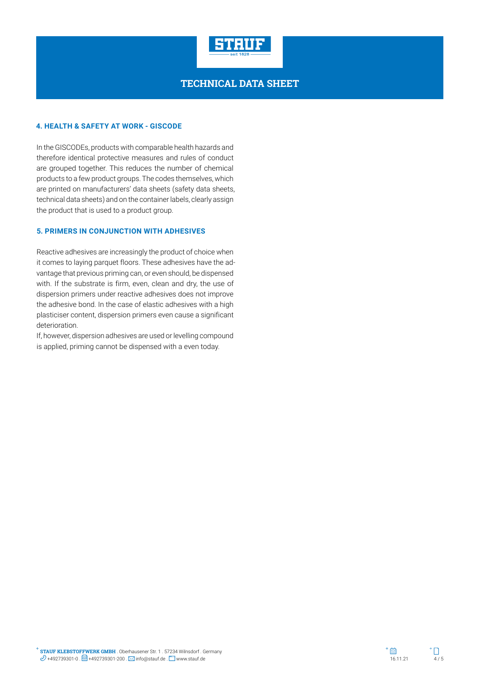

#### **4. HEALTH & SAFETY AT WORK - GISCODE**

In the GISCODEs, products with comparable health hazards and therefore identical protective measures and rules of conduct are grouped together. This reduces the number of chemical products to a few product groups. The codes themselves, which are printed on manufacturers' data sheets (safety data sheets, technical data sheets) and on the container labels, clearly assign the product that is used to a product group.

#### **5. PRIMERS IN CONJUNCTION WITH ADHESIVES**

Reactive adhesives are increasingly the product of choice when it comes to laying parquet floors. These adhesives have the advantage that previous priming can, or even should, be dispensed with. If the substrate is firm, even, clean and dry, the use of dispersion primers under reactive adhesives does not improve the adhesive bond. In the case of elastic adhesives with a high plasticiser content, dispersion primers even cause a significant deterioration.

If, however, dispersion adhesives are used or levelling compound is applied, priming cannot be dispensed with a even today.